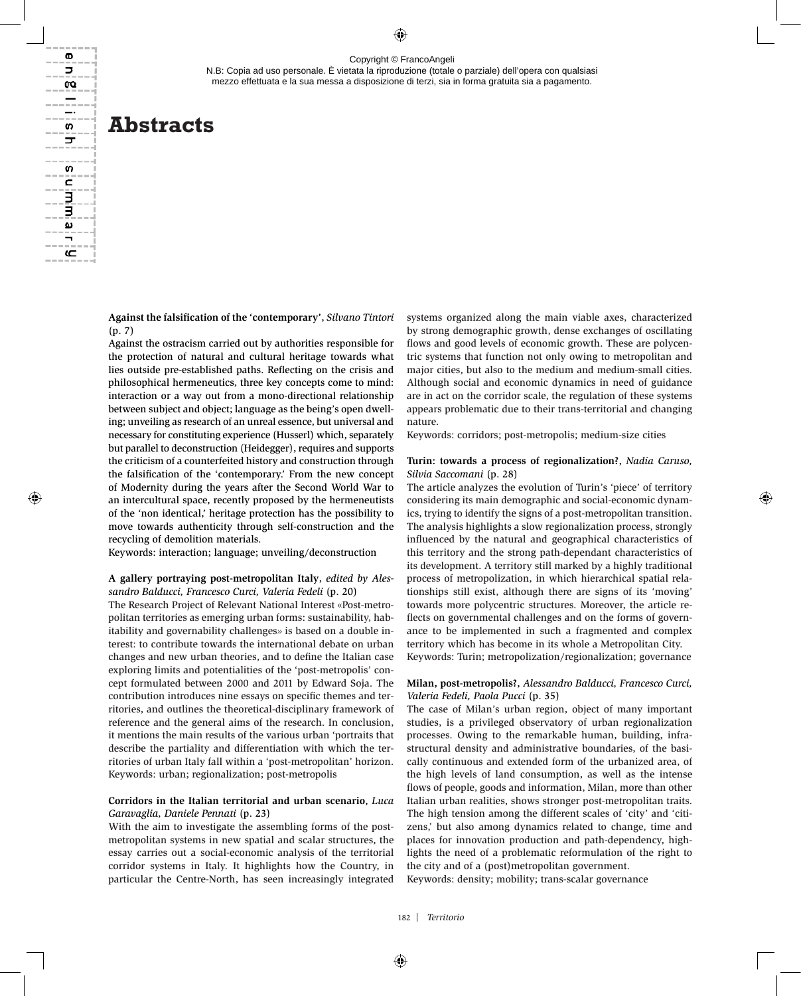N.B: Copia ad uso personale. È vietata la riproduzione (totale o parziale) dell'opera con qualsiasi mezzo effettuata e la sua messa a disposizione di terzi, sia in forma gratuita sia a pagamento.

# **Abstracts**

**Against the falsification of the 'contemporary'**, *Silvano Tintori*  (p. 7)

Against the ostracism carried out by authorities responsible for the protection of natural and cultural heritage towards what lies outside pre-established paths. Reflecting on the crisis and philosophical hermeneutics, three key concepts come to mind: interaction or a way out from a mono-directional relationship between subject and object; language as the being's open dwelling; unveiling as research of an unreal essence, but universal and necessary for constituting experience (Husserl) which, separately but parallel to deconstruction (Heidegger), requires and supports the criticism of a counterfeited history and construction through the falsification of the 'contemporary.' From the new concept of Modernity during the years after the Second World War to an intercultural space, recently proposed by the hermeneutists of the 'non identical,' heritage protection has the possibility to move towards authenticity through self-construction and the recycling of demolition materials.

Keywords: interaction; language; unveiling/deconstruction

#### **A gallery portraying post-metropolitan Italy**, *edited by Alessandro Balducci, Francesco Curci, Valeria Fedeli* (p. 20)

The Research Project of Relevant National Interest «Post-metropolitan territories as emerging urban forms: sustainability, habitability and governability challenges*»* is based on a double interest: to contribute towards the international debate on urban changes and new urban theories, and to define the Italian case exploring limits and potentialities of the 'post-metropolis' concept formulated between 2000 and 2011 by Edward Soja. The contribution introduces nine essays on specific themes and territories, and outlines the theoretical-disciplinary framework of reference and the general aims of the research. In conclusion, it mentions the main results of the various urban 'portraits that describe the partiality and differentiation with which the territories of urban Italy fall within a 'post-metropolitan' horizon. Keywords: urban; regionalization; post-metropolis

#### **Corridors in the Italian territorial and urban scenario**, *Luca Garavaglia, Daniele Pennati* (p. 23)

With the aim to investigate the assembling forms of the postmetropolitan systems in new spatial and scalar structures, the essay carries out a social-economic analysis of the territorial corridor systems in Italy. It highlights how the Country, in particular the Centre-North, has seen increasingly integrated systems organized along the main viable axes, characterized by strong demographic growth, dense exchanges of oscillating flows and good levels of economic growth. These are polycentric systems that function not only owing to metropolitan and major cities, but also to the medium and medium-small cities. Although social and economic dynamics in need of guidance are in act on the corridor scale, the regulation of these systems appears problematic due to their trans-territorial and changing nature.

Keywords: corridors; post-metropolis; medium-size cities

#### **Turin: towards a process of regionalization?**, *Nadia Caruso, Silvia Saccomani* (p. 28)

The article analyzes the evolution of Turin's 'piece' of territory considering its main demographic and social-economic dynamics, trying to identify the signs of a post-metropolitan transition. The analysis highlights a slow regionalization process, strongly influenced by the natural and geographical characteristics of this territory and the strong path-dependant characteristics of its development. A territory still marked by a highly traditional process of metropolization, in which hierarchical spatial relationships still exist, although there are signs of its 'moving' towards more polycentric structures. Moreover, the article reflects on governmental challenges and on the forms of governance to be implemented in such a fragmented and complex territory which has become in its whole a Metropolitan City. Keywords: Turin; metropolization/regionalization; governance

#### **Milan, post-metropolis?**, *Alessandro Balducci, Francesco Curci, Valeria Fedeli, Paola Pucci* (p. 35)

The case of Milan's urban region, object of many important studies, is a privileged observatory of urban regionalization processes. Owing to the remarkable human, building, infrastructural density and administrative boundaries, of the basically continuous and extended form of the urbanized area, of the high levels of land consumption, as well as the intense flows of people, goods and information, Milan, more than other Italian urban realities, shows stronger post-metropolitan traits. The high tension among the different scales of 'city' and 'citizens,' but also among dynamics related to change, time and places for innovation production and path-dependency, highlights the need of a problematic reformulation of the right to the city and of a (post)metropolitan government.

Keywords: density; mobility; trans-scalar governance

ወ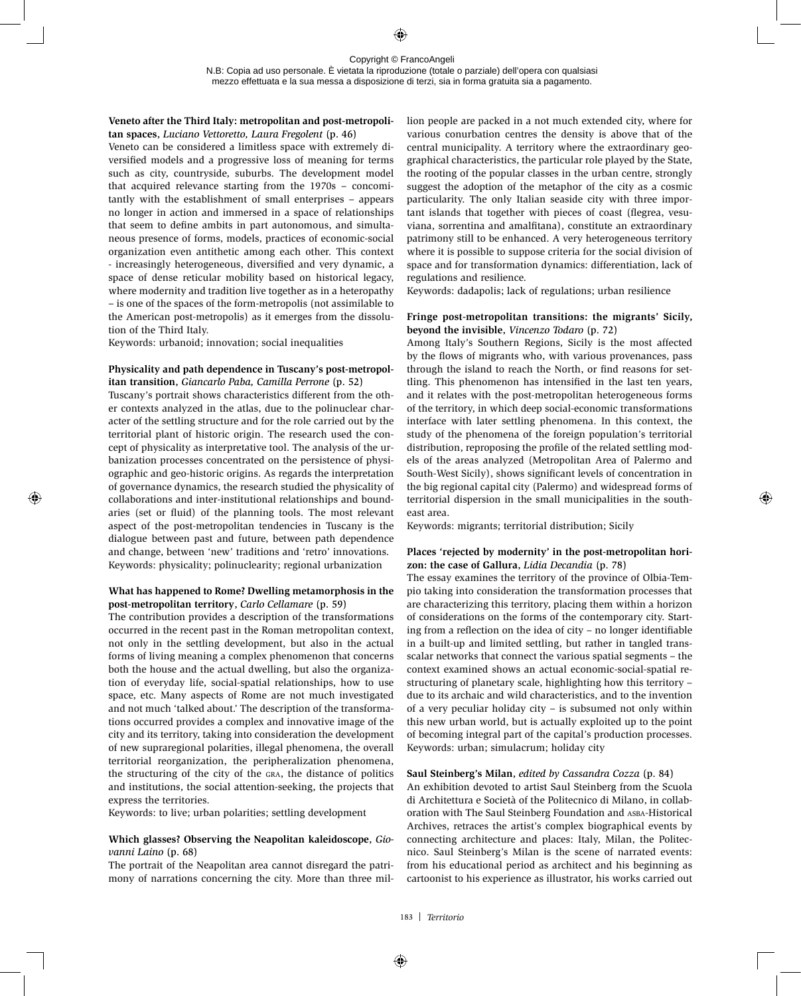#### **Veneto after the Third Italy: metropolitan and post-metropolitan spaces**, *Luciano Vettoretto, Laura Fregolent* (p. 46)

Veneto can be considered a limitless space with extremely diversified models and a progressive loss of meaning for terms such as city, countryside, suburbs. The development model that acquired relevance starting from the 1970s – concomitantly with the establishment of small enterprises – appears no longer in action and immersed in a space of relationships that seem to define ambits in part autonomous, and simultaneous presence of forms, models, practices of economic-social organization even antithetic among each other. This context - increasingly heterogeneous, diversified and very dynamic, a space of dense reticular mobility based on historical legacy, where modernity and tradition live together as in a heteropathy – is one of the spaces of the form-metropolis (not assimilable to the American post-metropolis) as it emerges from the dissolution of the Third Italy.

Keywords: urbanoid; innovation; social inequalities

# **Physicality and path dependence in Tuscany's post-metropolitan transition**, *Giancarlo Paba, Camilla Perrone* (p. 52)

Tuscany's portrait shows characteristics different from the other contexts analyzed in the atlas, due to the polinuclear character of the settling structure and for the role carried out by the territorial plant of historic origin. The research used the concept of physicality as interpretative tool. The analysis of the urbanization processes concentrated on the persistence of physiographic and geo-historic origins. As regards the interpretation of governance dynamics, the research studied the physicality of collaborations and inter-institutional relationships and boundaries (set or fluid) of the planning tools. The most relevant aspect of the post-metropolitan tendencies in Tuscany is the dialogue between past and future, between path dependence and change, between 'new' traditions and 'retro' innovations. Keywords: physicality; polinuclearity; regional urbanization

## **What has happened to Rome? Dwelling metamorphosis in the post-metropolitan territory**, *Carlo Cellamare* (p. 59)

The contribution provides a description of the transformations occurred in the recent past in the Roman metropolitan context, not only in the settling development, but also in the actual forms of living meaning a complex phenomenon that concerns both the house and the actual dwelling, but also the organization of everyday life, social-spatial relationships, how to use space, etc. Many aspects of Rome are not much investigated and not much 'talked about.' The description of the transformations occurred provides a complex and innovative image of the city and its territory, taking into consideration the development of new supraregional polarities, illegal phenomena, the overall territorial reorganization, the peripheralization phenomena, the structuring of the city of the gra, the distance of politics and institutions, the social attention-seeking, the projects that express the territories.

Keywords: to live; urban polarities; settling development

# **Which glasses? Observing the Neapolitan kaleidoscope**, *Giovanni Laino* (p. 68)

The portrait of the Neapolitan area cannot disregard the patrimony of narrations concerning the city. More than three million people are packed in a not much extended city, where for various conurbation centres the density is above that of the central municipality. A territory where the extraordinary geographical characteristics, the particular role played by the State, the rooting of the popular classes in the urban centre, strongly suggest the adoption of the metaphor of the city as a cosmic particularity. The only Italian seaside city with three important islands that together with pieces of coast (flegrea, vesuviana, sorrentina and amalfitana), constitute an extraordinary patrimony still to be enhanced. A very heterogeneous territory where it is possible to suppose criteria for the social division of space and for transformation dynamics: differentiation, lack of regulations and resilience.

Keywords: dadapolis; lack of regulations; urban resilience

# **Fringe post-metropolitan transitions: the migrants' Sicily, beyond the invisible**, *Vincenzo Todaro* (p. 72)

Among Italy's Southern Regions, Sicily is the most affected by the flows of migrants who, with various provenances, pass through the island to reach the North, or find reasons for settling. This phenomenon has intensified in the last ten years, and it relates with the post-metropolitan heterogeneous forms of the territory, in which deep social-economic transformations interface with later settling phenomena. In this context, the study of the phenomena of the foreign population's territorial distribution, reproposing the profile of the related settling models of the areas analyzed (Metropolitan Area of Palermo and South-West Sicily), shows significant levels of concentration in the big regional capital city (Palermo) and widespread forms of territorial dispersion in the small municipalities in the southeast area.

Keywords: migrants; territorial distribution; Sicily

## **Places 'rejected by modernity' in the post-metropolitan horizon: the case of Gallura**, *Lidia Decandia* (p. 78)

The essay examines the territory of the province of Olbia-Tempio taking into consideration the transformation processes that are characterizing this territory, placing them within a horizon of considerations on the forms of the contemporary city. Starting from a reflection on the idea of city – no longer identifiable in a built-up and limited settling, but rather in tangled transscalar networks that connect the various spatial segments – the context examined shows an actual economic-social-spatial restructuring of planetary scale, highlighting how this territory – due to its archaic and wild characteristics, and to the invention of a very peculiar holiday city – is subsumed not only within this new urban world, but is actually exploited up to the point of becoming integral part of the capital's production processes. Keywords: urban; simulacrum; holiday city

## **Saul Steinberg's Milan**, *edited by Cassandra Cozza* (p. 84)

An exhibition devoted to artist Saul Steinberg from the Scuola di Architettura e Società of the Politecnico di Milano, in collaboration with The Saul Steinberg Foundation and ASBA-Historical Archives, retraces the artist's complex biographical events by connecting architecture and places: Italy, Milan, the Politecnico. Saul Steinberg's Milan is the scene of narrated events: from his educational period as architect and his beginning as cartoonist to his experience as illustrator, his works carried out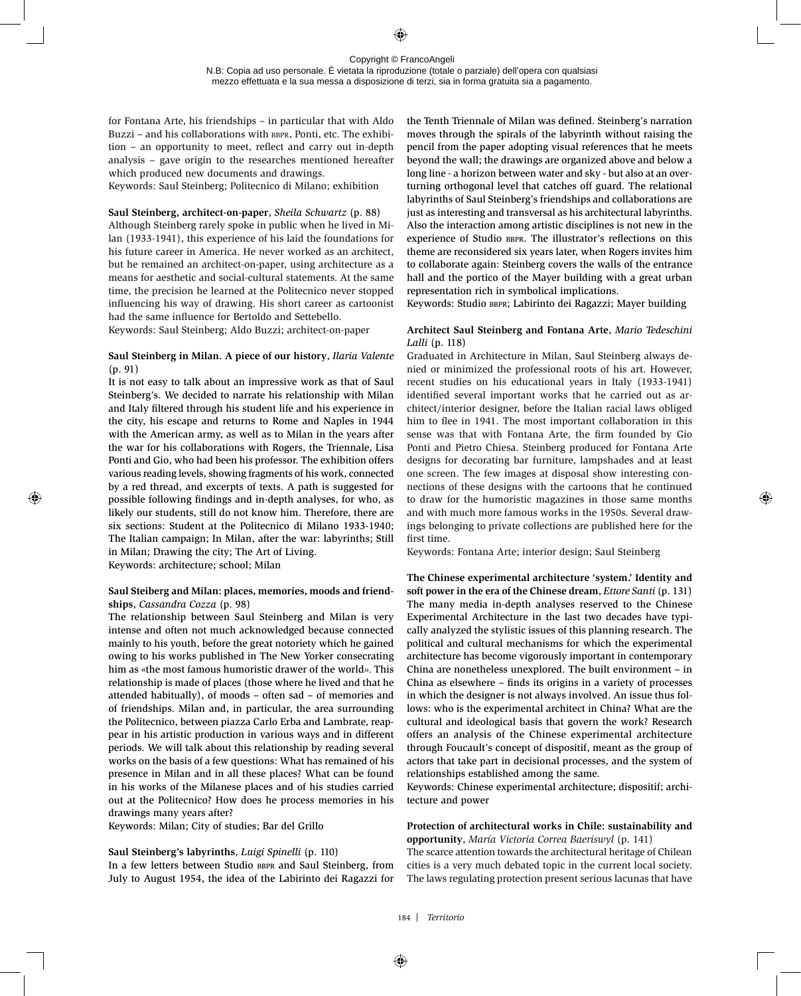N.B: Copia ad uso personale. È vietata la riproduzione (totale o parziale) dell'opera con qualsiasi mezzo effettuata e la sua messa a disposizione di terzi, sia in forma gratuita sia a pagamento.

for Fontana Arte, his friendships – in particular that with Aldo Buzzi – and his collaborations with BBPR, Ponti, etc. The exhibition – an opportunity to meet, reflect and carry out in-depth analysis – gave origin to the researches mentioned hereafter which produced new documents and drawings.

Keywords: Saul Steinberg; Politecnico di Milano; exhibition

#### **Saul Steinberg, architect-on-paper**, *Sheila Schwartz* (p. 88)

Although Steinberg rarely spoke in public when he lived in Milan (1933-1941), this experience of his laid the foundations for his future career in America. He never worked as an architect, but he remained an architect-on-paper, using architecture as a means for aesthetic and social-cultural statements. At the same time, the precision he learned at the Politecnico never stopped influencing his way of drawing. His short career as cartoonist had the same influence for Bertoldo and Settebello.

Keywords: Saul Steinberg; Aldo Buzzi; architect-on-paper

# **Saul Steinberg in Milan. A piece of our history**, *Ilaria Valente*  (p. 91)

It is not easy to talk about an impressive work as that of Saul Steinberg's. We decided to narrate his relationship with Milan and Italy filtered through his student life and his experience in the city, his escape and returns to Rome and Naples in 1944 with the American army, as well as to Milan in the years after the war for his collaborations with Rogers, the Triennale, Lisa Ponti and Gio, who had been his professor. The exhibition offers various reading levels, showing fragments of his work, connected by a red thread, and excerpts of texts. A path is suggested for possible following findings and in-depth analyses, for who, as likely our students, still do not know him. Therefore, there are six sections: Student at the Politecnico di Milano 1933-1940; The Italian campaign; In Milan, after the war: labyrinths; Still in Milan; Drawing the city; The Art of Living. Keywords: architecture; school; Milan

## **Saul Steiberg and Milan: places, memories, moods and friendships**, *Cassandra Cozza* (p. 98)

The relationship between Saul Steinberg and Milan is very intense and often not much acknowledged because connected mainly to his youth, before the great notoriety which he gained owing to his works published in The New Yorker consecrating him as «the most famous humoristic drawer of the world*».* This relationship is made of places (those where he lived and that he attended habitually), of moods – often sad – of memories and of friendships. Milan and, in particular, the area surrounding the Politecnico, between piazza Carlo Erba and Lambrate, reappear in his artistic production in various ways and in different periods. We will talk about this relationship by reading several works on the basis of a few questions: What has remained of his presence in Milan and in all these places? What can be found in his works of the Milanese places and of his studies carried out at the Politecnico? How does he process memories in his drawings many years after?

Keywords: Milan; City of studies; Bar del Grillo

## **Saul Steinberg's labyrinths**, *Luigi Spinelli* (p. 110)

In a few letters between Studio BBPR and Saul Steinberg, from July to August 1954, the idea of the Labirinto dei Ragazzi for the Tenth Triennale of Milan was defined. Steinberg's narration moves through the spirals of the labyrinth without raising the pencil from the paper adopting visual references that he meets beyond the wall; the drawings are organized above and below a long line - a horizon between water and sky - but also at an overturning orthogonal level that catches off guard. The relational labyrinths of Saul Steinberg's friendships and collaborations are just as interesting and transversal as his architectural labyrinths. Also the interaction among artistic disciplines is not new in the experience of Studio BBPR. The illustrator's reflections on this theme are reconsidered six years later, when Rogers invites him to collaborate again: Steinberg covers the walls of the entrance hall and the portico of the Mayer building with a great urban representation rich in symbolical implications.

Keywords: Studio BBPR; Labirinto dei Ragazzi; Mayer building

# **Architect Saul Steinberg and Fontana Arte**, *Mario Tedeschini Lalli* (p. 118)

Graduated in Architecture in Milan, Saul Steinberg always denied or minimized the professional roots of his art. However, recent studies on his educational years in Italy (1933-1941) identified several important works that he carried out as architect/interior designer, before the Italian racial laws obliged him to flee in 1941. The most important collaboration in this sense was that with Fontana Arte, the firm founded by Gio Ponti and Pietro Chiesa. Steinberg produced for Fontana Arte designs for decorating bar furniture, lampshades and at least one screen. The few images at disposal show interesting connections of these designs with the cartoons that he continued to draw for the humoristic magazines in those same months and with much more famous works in the 1950s. Several drawings belonging to private collections are published here for the first time.

Keywords: Fontana Arte; interior design; Saul Steinberg

**The Chinese experimental architecture 'system.' Identity and soft power in the era of the Chinese dream**, *Ettore Santi* (p. 131) The many media in-depth analyses reserved to the Chinese Experimental Architecture in the last two decades have typically analyzed the stylistic issues of this planning research. The political and cultural mechanisms for which the experimental architecture has become vigorously important in contemporary China are nonetheless unexplored. The built environment – in China as elsewhere – finds its origins in a variety of processes in which the designer is not always involved. An issue thus follows: who is the experimental architect in China? What are the cultural and ideological basis that govern the work? Research offers an analysis of the Chinese experimental architecture through Foucault's concept of dispositif, meant as the group of actors that take part in decisional processes, and the system of relationships established among the same.

Keywords: Chinese experimental architecture; dispositif; architecture and power

# **Protection of architectural works in Chile: sustainability and opportunity**, *María Victoria Correa Baeriswyl* (p. 141)

The scarce attention towards the architectural heritage of Chilean cities is a very much debated topic in the current local society. The laws regulating protection present serious lacunas that have